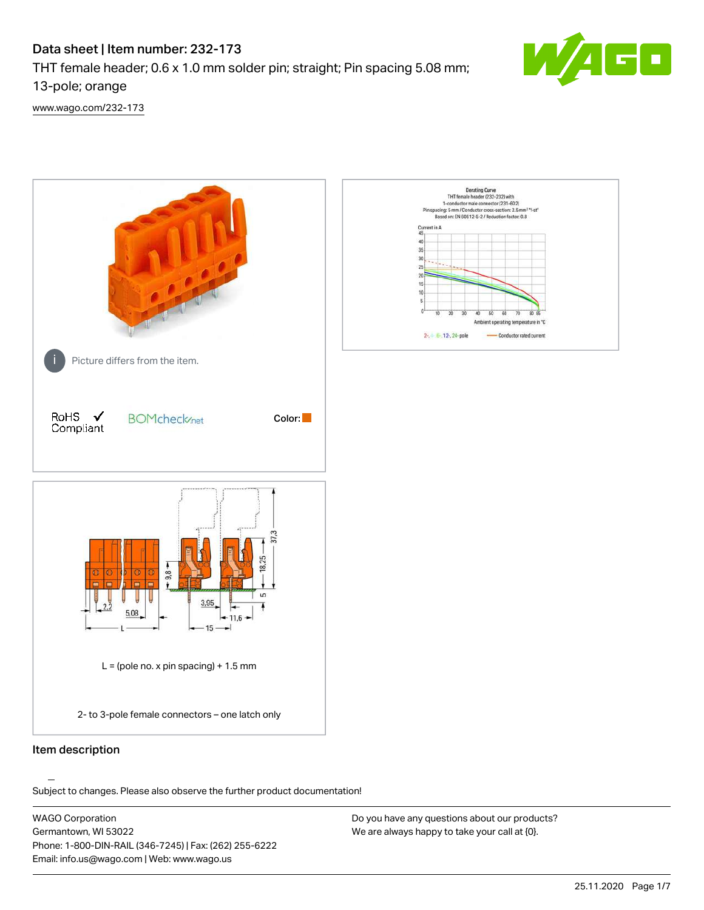# Data sheet | Item number: 232-173

THT female header; 0.6 x 1.0 mm solder pin; straight; Pin spacing 5.08 mm;

13-pole; orange

[www.wago.com/232-173](http://www.wago.com/232-173)



.<br>Subject to changes. Please also observe the further product documentation!

WAGO Corporation Germantown, WI 53022 Phone: 1-800-DIN-RAIL (346-7245) | Fax: (262) 255-6222 Email: info.us@wago.com | Web: www.wago.us

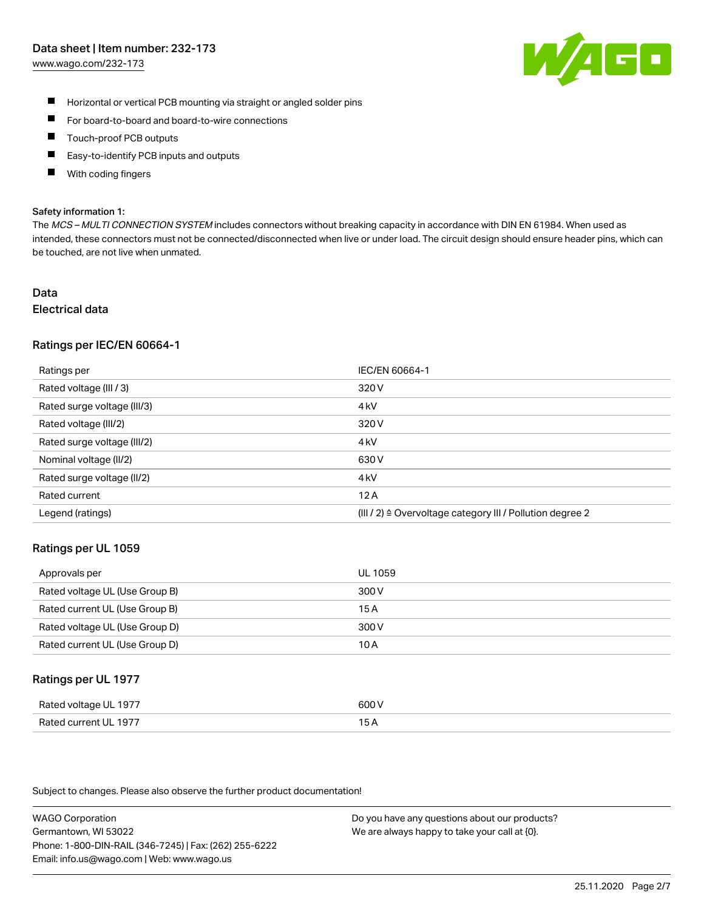#### Data sheet | Item number: 232-173

[www.wago.com/232-173](http://www.wago.com/232-173)



- $\blacksquare$ Horizontal or vertical PCB mounting via straight or angled solder pins
- $\blacksquare$ For board-to-board and board-to-wire connections
- Touch-proof PCB outputs  $\blacksquare$
- П Easy-to-identify PCB inputs and outputs
- П With coding fingers

#### Safety information 1:

The MCS - MULTI CONNECTION SYSTEM includes connectors without breaking capacity in accordance with DIN EN 61984. When used as intended, these connectors must not be connected/disconnected when live or under load. The circuit design should ensure header pins, which can be touched, are not live when unmated.

# Data

## Electrical data

#### Ratings per IEC/EN 60664-1

| Ratings per                 | IEC/EN 60664-1                                                       |
|-----------------------------|----------------------------------------------------------------------|
| Rated voltage (III / 3)     | 320 V                                                                |
| Rated surge voltage (III/3) | 4 <sub>k</sub> V                                                     |
| Rated voltage (III/2)       | 320 V                                                                |
| Rated surge voltage (III/2) | 4 <sub>k</sub> V                                                     |
| Nominal voltage (II/2)      | 630 V                                                                |
| Rated surge voltage (II/2)  | 4 <sub>k</sub> V                                                     |
| Rated current               | 12A                                                                  |
| Legend (ratings)            | (III / 2) $\triangleq$ Overvoltage category III / Pollution degree 2 |

#### Ratings per UL 1059

| Approvals per                  | UL 1059 |
|--------------------------------|---------|
| Rated voltage UL (Use Group B) | 300 V   |
| Rated current UL (Use Group B) | 15 A    |
| Rated voltage UL (Use Group D) | 300 V   |
| Rated current UL (Use Group D) | 10 A    |

#### Ratings per UL 1977

| Rated voltage UL 1977    | coo V       |
|--------------------------|-------------|
| Current UL 1977<br>Rated | ، ت<br>____ |

Subject to changes. Please also observe the further product documentation!

WAGO Corporation Germantown, WI 53022 Phone: 1-800-DIN-RAIL (346-7245) | Fax: (262) 255-6222 Email: info.us@wago.com | Web: www.wago.us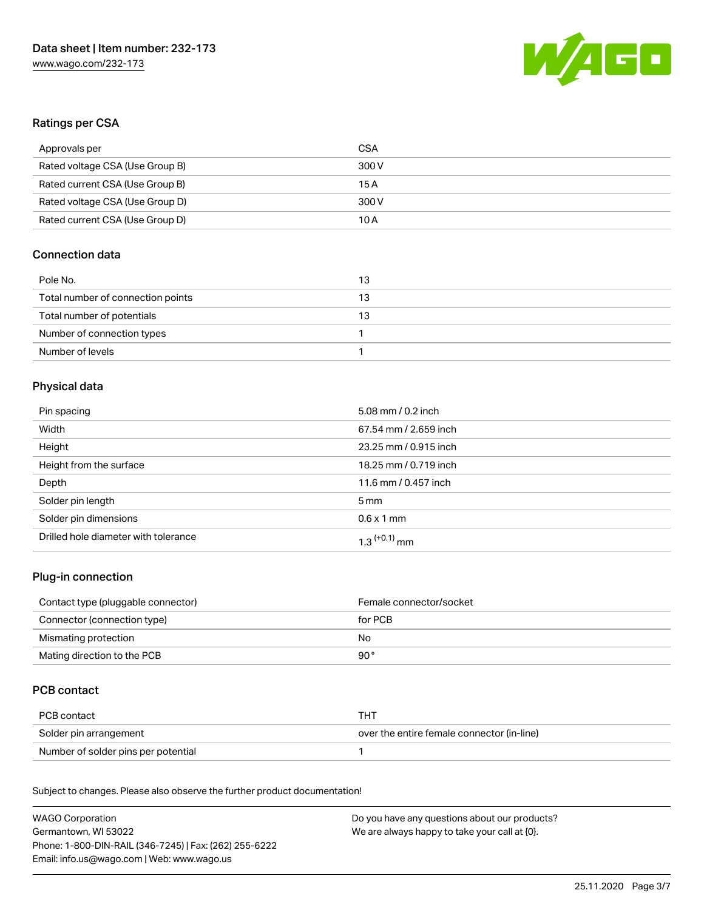

# Ratings per CSA

| Approvals per                   | CSA   |
|---------------------------------|-------|
| Rated voltage CSA (Use Group B) | 300 V |
| Rated current CSA (Use Group B) | 15 A  |
| Rated voltage CSA (Use Group D) | 300 V |
| Rated current CSA (Use Group D) | 10 A  |

## Connection data

| Pole No.                          | 13 |
|-----------------------------------|----|
| Total number of connection points | 13 |
| Total number of potentials        | 13 |
| Number of connection types        |    |
| Number of levels                  |    |

## Physical data

| Pin spacing                          | 5.08 mm / 0.2 inch         |
|--------------------------------------|----------------------------|
| Width                                | 67.54 mm / 2.659 inch      |
| Height                               | 23.25 mm / 0.915 inch      |
| Height from the surface              | 18.25 mm / 0.719 inch      |
| Depth                                | 11.6 mm / 0.457 inch       |
| Solder pin length                    | $5 \,\mathrm{mm}$          |
| Solder pin dimensions                | $0.6 \times 1$ mm          |
| Drilled hole diameter with tolerance | $1.3$ <sup>(+0.1)</sup> mm |

## Plug-in connection

| Contact type (pluggable connector) | Female connector/socket |
|------------------------------------|-------------------------|
| Connector (connection type)        | for PCB                 |
| Mismating protection               | No.                     |
| Mating direction to the PCB        | 90°                     |

# PCB contact

| PCB contact                         | THT                                        |
|-------------------------------------|--------------------------------------------|
| Solder pin arrangement              | over the entire female connector (in-line) |
| Number of solder pins per potential |                                            |

Subject to changes. Please also observe the further product documentation! Material Data

| WAGO Corporation                                       | Do you have any questions about our products? |
|--------------------------------------------------------|-----------------------------------------------|
| Germantown, WI 53022                                   | We are always happy to take your call at {0}. |
| Phone: 1-800-DIN-RAIL (346-7245)   Fax: (262) 255-6222 |                                               |
| Email: info.us@wago.com   Web: www.wago.us             |                                               |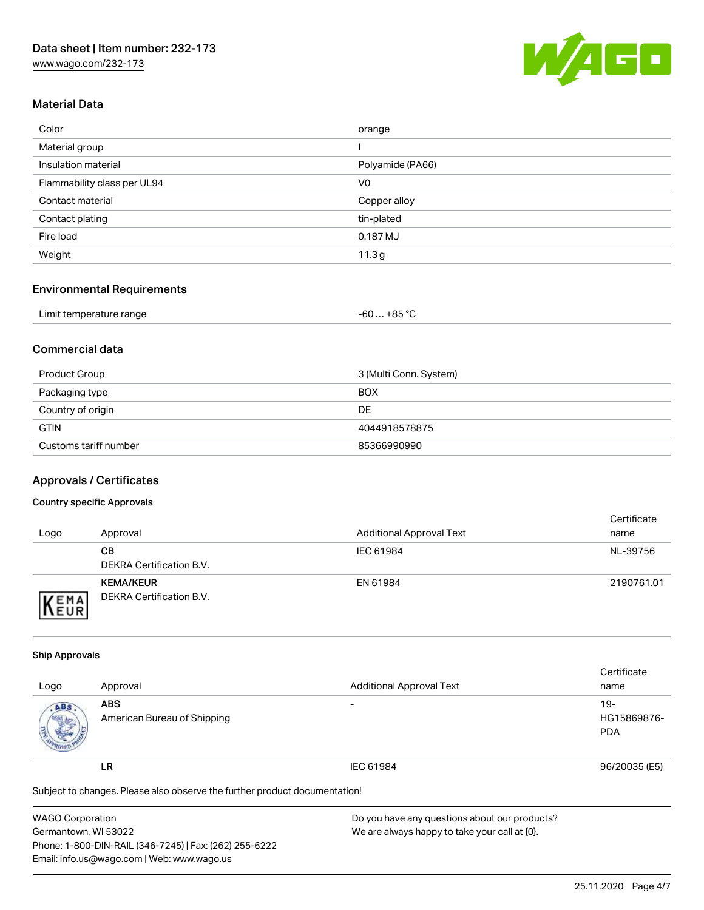[www.wago.com/232-173](http://www.wago.com/232-173)



## Material Data

| Color                       | orange           |
|-----------------------------|------------------|
| Material group              |                  |
| Insulation material         | Polyamide (PA66) |
| Flammability class per UL94 | V <sub>0</sub>   |
| Contact material            | Copper alloy     |
| Contact plating             | tin-plated       |
| Fire load                   | 0.187 MJ         |
| Weight                      | 11.3 $g$         |

## Environmental Requirements

| Limit temperature range | +85 °C<br>-60 |  |
|-------------------------|---------------|--|
|-------------------------|---------------|--|

## Commercial data

| Product Group         | 3 (Multi Conn. System) |
|-----------------------|------------------------|
| Packaging type        | <b>BOX</b>             |
| Country of origin     | DE                     |
| <b>GTIN</b>           | 4044918578875          |
| Customs tariff number | 85366990990            |

## Approvals / Certificates

#### Country specific Approvals

| Logo                | Approval                                     | <b>Additional Approval Text</b> | Certificate<br>name |
|---------------------|----------------------------------------------|---------------------------------|---------------------|
|                     | CВ<br>DEKRA Certification B.V.               | IEC 61984                       | NL-39756            |
| EMA<br><b>INEUR</b> | <b>KEMA/KEUR</b><br>DEKRA Certification B.V. | EN 61984                        | 2190761.01          |

#### Ship Approvals

|                                                                            |                             |                                 | Certificate   |  |
|----------------------------------------------------------------------------|-----------------------------|---------------------------------|---------------|--|
| Logo                                                                       | Approval                    | <b>Additional Approval Text</b> | name          |  |
| ABS.                                                                       | <b>ABS</b>                  | $\overline{\phantom{a}}$        | $19-$         |  |
|                                                                            | American Bureau of Shipping |                                 | HG15869876-   |  |
|                                                                            |                             |                                 | <b>PDA</b>    |  |
|                                                                            | LR                          | IEC 61984                       | 96/20035 (E5) |  |
| Subject to changes. Please also observe the further product documentation! |                             |                                 |               |  |

| <b>WAGO Corporation</b>                                | Do you have any questions about our products? |
|--------------------------------------------------------|-----------------------------------------------|
| Germantown, WI 53022                                   | We are always happy to take your call at {0}. |
| Phone: 1-800-DIN-RAIL (346-7245)   Fax: (262) 255-6222 |                                               |
| Email: info.us@wago.com   Web: www.wago.us             |                                               |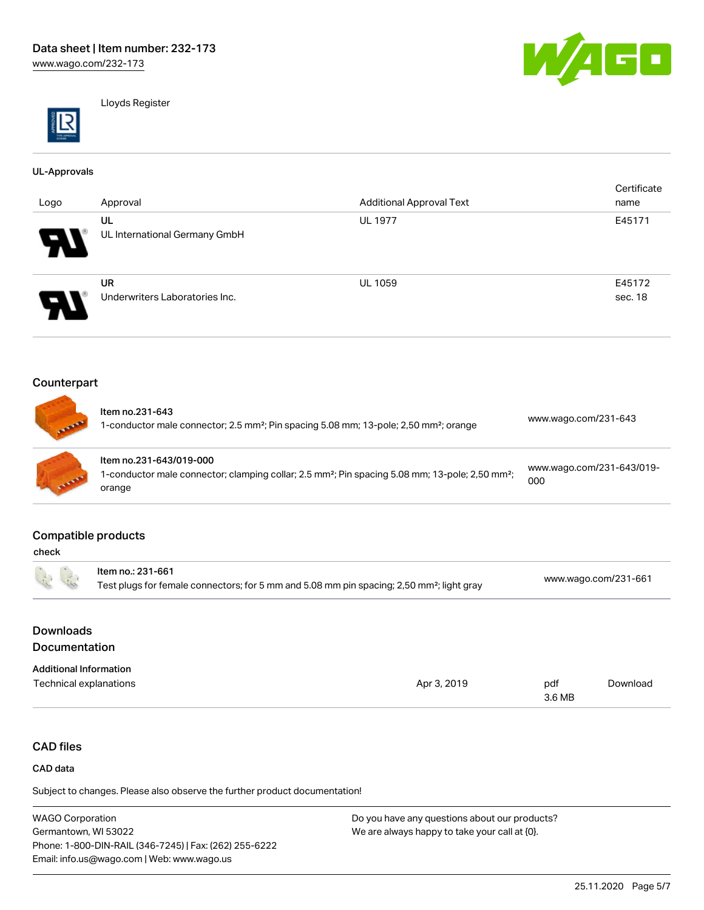



Lloyds Register

#### UL-Approvals

| Logo                       | Approval                       | <b>Additional Approval Text</b> | Certificate<br>name |
|----------------------------|--------------------------------|---------------------------------|---------------------|
|                            | UL                             | <b>UL 1977</b>                  | E45171              |
| W                          | UL International Germany GmbH  |                                 |                     |
|                            | <b>UR</b>                      | <b>UL 1059</b>                  | E45172              |
| $\boldsymbol{\mathcal{P}}$ | Underwriters Laboratories Inc. |                                 | sec. 18             |

## Counterpart

| <b>CENTRE</b> | Item no.231-643<br>1-conductor male connector; 2.5 mm <sup>2</sup> ; Pin spacing 5.08 mm; 13-pole; 2,50 mm <sup>2</sup> ; orange                             | www.wago.com/231-643             |
|---------------|--------------------------------------------------------------------------------------------------------------------------------------------------------------|----------------------------------|
| <b>ANTIFE</b> | Item no.231-643/019-000<br>1-conductor male connector; clamping collar; 2.5 mm <sup>2</sup> ; Pin spacing 5.08 mm; 13-pole; 2,50 mm <sup>2</sup> ;<br>orange | www.wago.com/231-643/019-<br>000 |

## Compatible products

|                               | Item no.: 231-661                                                                                     |             |               |                      |  |
|-------------------------------|-------------------------------------------------------------------------------------------------------|-------------|---------------|----------------------|--|
| $\tilde{K}$                   | Test plugs for female connectors; for 5 mm and 5.08 mm pin spacing; 2,50 mm <sup>2</sup> ; light gray |             |               | www.wago.com/231-661 |  |
| <b>Downloads</b>              |                                                                                                       |             |               |                      |  |
| Documentation                 |                                                                                                       |             |               |                      |  |
| <b>Additional Information</b> |                                                                                                       |             |               |                      |  |
| Technical explanations        |                                                                                                       | Apr 3, 2019 | pdf<br>3.6 MB | Download             |  |

# CAD files

#### CAD data

Subject to changes. Please also observe the further product documentation!

WAGO Corporation Germantown, WI 53022 Phone: 1-800-DIN-RAIL (346-7245) | Fax: (262) 255-6222 Email: info.us@wago.com | Web: www.wago.us Do you have any questions about our products? We are always happy to take your call at {0}.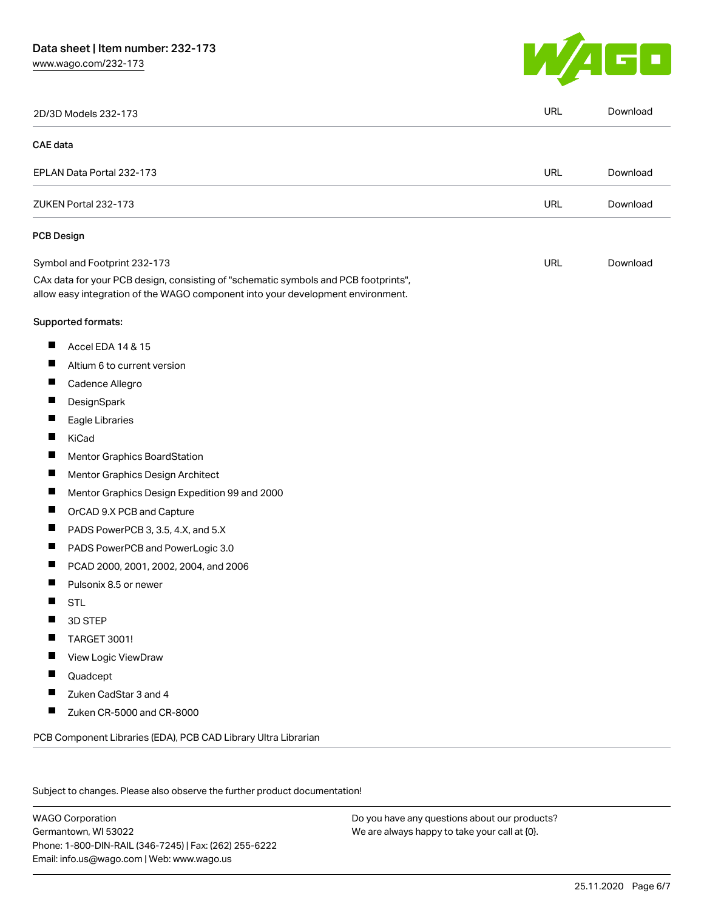# Data sheet | Item number: 232-173

[www.wago.com/232-173](http://www.wago.com/232-173)



|          | 2D/3D Models 232-173                                                                                                                                                   | <b>URL</b> | Download |
|----------|------------------------------------------------------------------------------------------------------------------------------------------------------------------------|------------|----------|
| CAE data |                                                                                                                                                                        |            |          |
|          | EPLAN Data Portal 232-173                                                                                                                                              | URL        | Download |
|          | ZUKEN Portal 232-173                                                                                                                                                   | <b>URL</b> | Download |
|          | <b>PCB Design</b>                                                                                                                                                      |            |          |
|          | Symbol and Footprint 232-173                                                                                                                                           | URL        | Download |
|          | CAx data for your PCB design, consisting of "schematic symbols and PCB footprints",<br>allow easy integration of the WAGO component into your development environment. |            |          |
|          | Supported formats:                                                                                                                                                     |            |          |
| ш        | Accel EDA 14 & 15                                                                                                                                                      |            |          |
| ш        | Altium 6 to current version                                                                                                                                            |            |          |
| ш        | Cadence Allegro                                                                                                                                                        |            |          |
|          | DesignSpark                                                                                                                                                            |            |          |
| ш        | Eagle Libraries                                                                                                                                                        |            |          |
| ш        | KiCad                                                                                                                                                                  |            |          |
|          | Mentor Graphics BoardStation                                                                                                                                           |            |          |
| ш        | Mentor Graphics Design Architect                                                                                                                                       |            |          |
| ш        | Mentor Graphics Design Expedition 99 and 2000                                                                                                                          |            |          |
| H        | OrCAD 9.X PCB and Capture                                                                                                                                              |            |          |
| ш        | PADS PowerPCB 3, 3.5, 4.X, and 5.X                                                                                                                                     |            |          |
| ш        | PADS PowerPCB and PowerLogic 3.0                                                                                                                                       |            |          |
| Ш        | PCAD 2000, 2001, 2002, 2004, and 2006                                                                                                                                  |            |          |
|          | Pulsonix 8.5 or newer                                                                                                                                                  |            |          |
| H        | <b>STL</b>                                                                                                                                                             |            |          |
|          | 3D STEP                                                                                                                                                                |            |          |
|          | <b>TARGET 3001!</b>                                                                                                                                                    |            |          |
|          | View Logic ViewDraw                                                                                                                                                    |            |          |
| ш        | Quadcept                                                                                                                                                               |            |          |
| ш        | Zuken CadStar 3 and 4                                                                                                                                                  |            |          |
| H        | Zuken CR-5000 and CR-8000                                                                                                                                              |            |          |

Subject to changes. Please also observe the further product documentation!

WAGO Corporation Germantown, WI 53022 Phone: 1-800-DIN-RAIL (346-7245) | Fax: (262) 255-6222 Email: info.us@wago.com | Web: www.wago.us